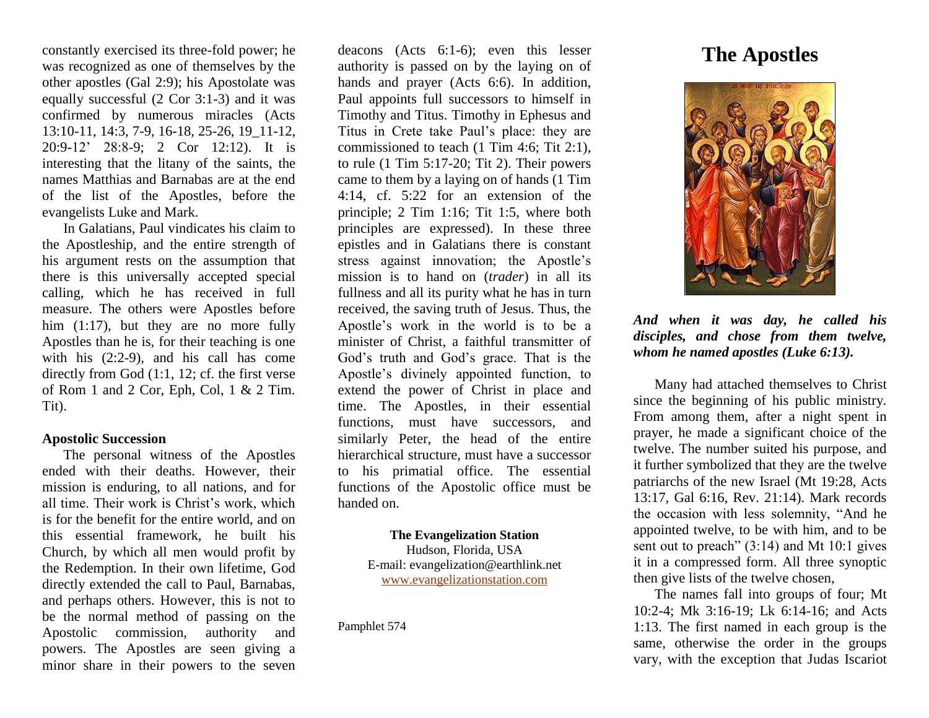constantly exercised its three-fold power; he was recognized as one of themselves by the other apostles (Gal 2:9); his Apostolate was equally successful (2 Cor 3:1-3) and it was confirmed by numerous miracles (Acts 13:10-11, 14:3, 7-9, 16-18, 25-26, 19\_11-12, 20:9-12' 28:8-9; 2 Cor 12:12). It is interesting that the litany of the saints, the names Matthias and Barnabas are at the end of the list of the Apostles, before the evangelists Luke and Mark.

In Galatians, Paul vindicates his claim to the Apostleship, and the entire strength of his argument rests on the assumption that there is this universally accepted special calling, which he has received in full measure. The others were Apostles before him (1:17), but they are no more fully Apostles than he is, for their teaching is one with his (2:2-9), and his call has come directly from God (1:1, 12; cf. the first verse of Rom 1 and 2 Cor, Eph, Col, 1 & 2 Tim. Tit).

#### **Apostolic Succession**

The personal witness of the Apostles ended with their deaths. However, their mission is enduring, to all nations, and for all time. Their work is Christ's work, which is for the benefit for the entire world, and on this essential framework, he built his Church, by which all men would profit by the Redemption. In their own lifetime, God directly extended the call to Paul, Barnabas, and perhaps others. However, this is not to be the normal method of passing on the Apostolic commission, authority and powers. The Apostles are seen giving a minor share in their powers to the seven

deacons (Acts 6:1-6); even this lesser authority is passed on by the laying on of hands and prayer (Acts 6:6). In addition, Paul appoints full successors to himself in Timothy and Titus. Timothy in Ephesus and Titus in Crete take Paul's place: they are commissioned to teach (1 Tim 4:6; Tit 2:1), to rule (1 Tim 5:17-20; Tit 2). Their powers came to them by a laying on of hands (1 Tim 4:14, cf. 5:22 for an extension of the principle; 2 Tim 1:16; Tit 1:5, where both principles are expressed). In these three epistles and in Galatians there is constant stress against innovation; the Apostle's mission is to hand on (*trader*) in all its fullness and all its purity what he has in turn received, the saving truth of Jesus. Thus, the Apostle's work in the world is to be a minister of Christ, a faithful transmitter of God's truth and God's grace. That is the Apostle's divinely appointed function, to extend the power of Christ in place and time. The Apostles, in their essential functions, must have successors, and similarly Peter, the head of the entire hierarchical structure, must have a successor to his primatial office. The essential functions of the Apostolic office must be handed on.

# **The Evangelization Station** Hudson, Florida, USA E-mail: evangelization@earthlink.net [www.evangelizationstation.com](http://www.pjpiisoe.org/)

Pamphlet 574

# **The Apostles**



*And when it was day, he called his disciples, and chose from them twelve, whom he named apostles (Luke 6:13).*

Many had attached themselves to Christ since the beginning of his public ministry. From among them, after a night spent in prayer, he made a significant choice of the twelve. The number suited his purpose, and it further symbolized that they are the twelve patriarchs of the new Israel (Mt 19:28, Acts 13:17, Gal 6:16, Rev. 21:14). Mark records the occasion with less solemnity, "And he appointed twelve, to be with him, and to be sent out to preach" (3:14) and Mt 10:1 gives it in a compressed form. All three synoptic then give lists of the twelve chosen,

The names fall into groups of four; Mt 10:2-4; Mk 3:16-19; Lk 6:14-16; and Acts 1:13. The first named in each group is the same, otherwise the order in the groups vary, with the exception that Judas Iscariot